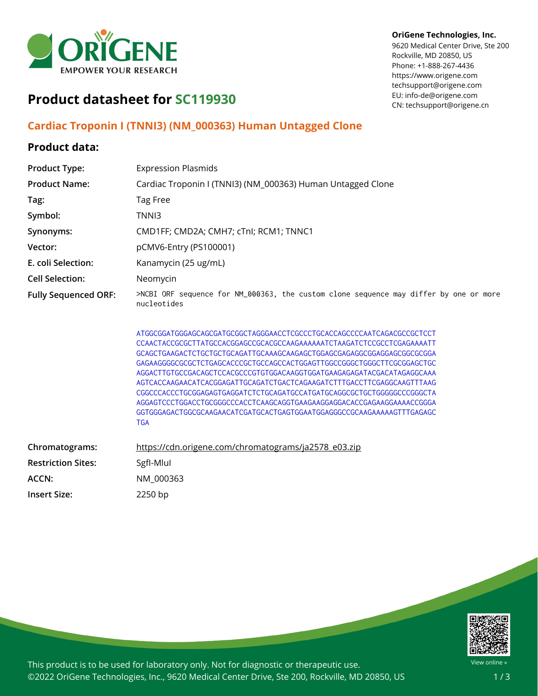

#### **OriGene Technologies, Inc.**

9620 Medical Center Drive, Ste 200 Rockville, MD 20850, US Phone: +1-888-267-4436 https://www.origene.com techsupport@origene.com EU: info-de@origene.com CN: techsupport@origene.cn

# **Product datasheet for SC119930**

### **Cardiac Troponin I (TNNI3) (NM\_000363) Human Untagged Clone**

## **Product data:**

| <b>Product Type:</b>        | <b>Expression Plasmids</b>                                                                                                                                                                                                                                                                                                                                                                                                                                                                                                                                                                                                                                                                           |
|-----------------------------|------------------------------------------------------------------------------------------------------------------------------------------------------------------------------------------------------------------------------------------------------------------------------------------------------------------------------------------------------------------------------------------------------------------------------------------------------------------------------------------------------------------------------------------------------------------------------------------------------------------------------------------------------------------------------------------------------|
| <b>Product Name:</b>        | Cardiac Troponin I (TNNI3) (NM_000363) Human Untagged Clone                                                                                                                                                                                                                                                                                                                                                                                                                                                                                                                                                                                                                                          |
| Tag:                        | Tag Free                                                                                                                                                                                                                                                                                                                                                                                                                                                                                                                                                                                                                                                                                             |
| Symbol:                     | TNNI3                                                                                                                                                                                                                                                                                                                                                                                                                                                                                                                                                                                                                                                                                                |
| Synonyms:                   | CMD1FF; CMD2A; CMH7; cTnI; RCM1; TNNC1                                                                                                                                                                                                                                                                                                                                                                                                                                                                                                                                                                                                                                                               |
| Vector:                     | pCMV6-Entry (PS100001)                                                                                                                                                                                                                                                                                                                                                                                                                                                                                                                                                                                                                                                                               |
| E. coli Selection:          | Kanamycin (25 ug/mL)                                                                                                                                                                                                                                                                                                                                                                                                                                                                                                                                                                                                                                                                                 |
| <b>Cell Selection:</b>      | Neomycin                                                                                                                                                                                                                                                                                                                                                                                                                                                                                                                                                                                                                                                                                             |
| <b>Fully Sequenced ORF:</b> | >NCBI ORF sequence for NM_000363, the custom clone sequence may differ by one or more<br>nucleotides                                                                                                                                                                                                                                                                                                                                                                                                                                                                                                                                                                                                 |
|                             | ATGGCGGATGGGAGCAGCGATGCGGCTAGGGAACCTCGCCCTGCACCAGCCCCAATCAGACGCCGCTCCT<br>CCAACTACCGCGCTTATGCCACGGAGCCGCACGCCAAGAAAAATCTAAGATCTCCGCCTCGAGAAAATT<br>GCAGCTGAAGACTCTGCTGCTGCAGATTGCAAAGCAAGAGCTGGAGCGAGAGGCGGAGGAGCGGCGCGCGA<br>GAGAAGGGGCGCGCTCTGAGCACCCGCTGCCAGCCACTGGAGTTGGCCGGGCTGGGCTTCGCGGAGCTGC<br>AGGACTTGTGCCGACAGCTCCACGCCCGTGTGGACAAGGTGGATGAAGAGAGATACGACATAGAGGCAAA<br>AGTCACCAAGAACATCACGGAGATTGCAGATCTGACTCAGAAGATCTTTGACCTTCGAGGCAAGTTTAAG<br>CGGCCCACCCTGCGGAGAGTGAGGATCTCTGCAGATGCCATGATGCAGGCGCTGCTGGGGGCCCGGGCTA<br>AGGAGTCCCTGGACCTGCGGGCCCACCTCAAGCAGGTGAAGAAGGAGGACACCGAGAAGGAAAACCGGGA<br>GGTGGGAGACTGGCGCAAGAACATCGATGCACTGAGTGGAATGGAGGGCCGCAAGAAAAAGTTTGAGAGC<br><b>TGA</b> |
| Chromatograms:              | https://cdn.origene.com/chromatograms/ja2578_e03.zip                                                                                                                                                                                                                                                                                                                                                                                                                                                                                                                                                                                                                                                 |
| <b>Restriction Sites:</b>   | SgfI-Mlul                                                                                                                                                                                                                                                                                                                                                                                                                                                                                                                                                                                                                                                                                            |
| ACCN:                       | NM_000363                                                                                                                                                                                                                                                                                                                                                                                                                                                                                                                                                                                                                                                                                            |
| <b>Insert Size:</b>         | 2250 bp                                                                                                                                                                                                                                                                                                                                                                                                                                                                                                                                                                                                                                                                                              |



This product is to be used for laboratory only. Not for diagnostic or therapeutic use. ©2022 OriGene Technologies, Inc., 9620 Medical Center Drive, Ste 200, Rockville, MD 20850, US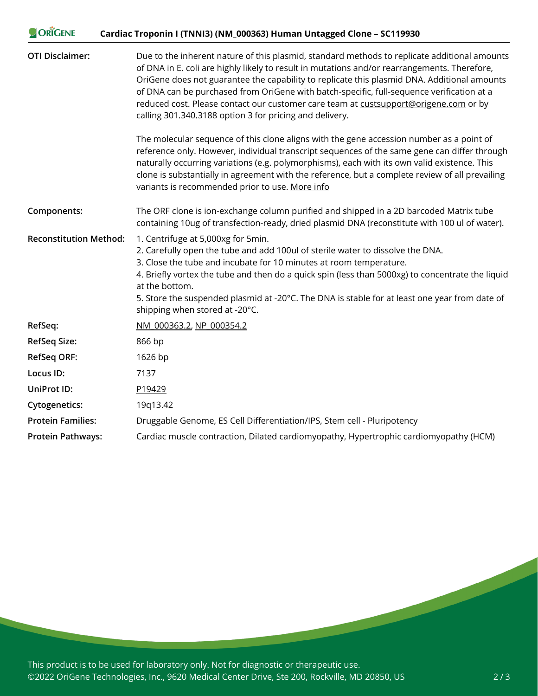| ORIGENE                       | Cardiac Troponin I (TNNI3) (NM_000363) Human Untagged Clone - SC119930                                                                                                                                                                                                                                                                                                                                                                                                                                                                      |
|-------------------------------|---------------------------------------------------------------------------------------------------------------------------------------------------------------------------------------------------------------------------------------------------------------------------------------------------------------------------------------------------------------------------------------------------------------------------------------------------------------------------------------------------------------------------------------------|
| <b>OTI Disclaimer:</b>        | Due to the inherent nature of this plasmid, standard methods to replicate additional amounts<br>of DNA in E. coli are highly likely to result in mutations and/or rearrangements. Therefore,<br>OriGene does not guarantee the capability to replicate this plasmid DNA. Additional amounts<br>of DNA can be purchased from OriGene with batch-specific, full-sequence verification at a<br>reduced cost. Please contact our customer care team at custsupport@origene.com or by<br>calling 301.340.3188 option 3 for pricing and delivery. |
|                               | The molecular sequence of this clone aligns with the gene accession number as a point of<br>reference only. However, individual transcript sequences of the same gene can differ through<br>naturally occurring variations (e.g. polymorphisms), each with its own valid existence. This<br>clone is substantially in agreement with the reference, but a complete review of all prevailing<br>variants is recommended prior to use. More info                                                                                              |
| Components:                   | The ORF clone is ion-exchange column purified and shipped in a 2D barcoded Matrix tube<br>containing 10ug of transfection-ready, dried plasmid DNA (reconstitute with 100 ul of water).                                                                                                                                                                                                                                                                                                                                                     |
| <b>Reconstitution Method:</b> | 1. Centrifuge at 5,000xg for 5min.<br>2. Carefully open the tube and add 100ul of sterile water to dissolve the DNA.<br>3. Close the tube and incubate for 10 minutes at room temperature.<br>4. Briefly vortex the tube and then do a quick spin (less than 5000xg) to concentrate the liquid<br>at the bottom.<br>5. Store the suspended plasmid at -20°C. The DNA is stable for at least one year from date of<br>shipping when stored at -20°C.                                                                                         |
| RefSeq:                       | NM 000363.2, NP 000354.2                                                                                                                                                                                                                                                                                                                                                                                                                                                                                                                    |
| <b>RefSeq Size:</b>           | 866 bp                                                                                                                                                                                                                                                                                                                                                                                                                                                                                                                                      |
| <b>RefSeq ORF:</b>            | 1626 bp                                                                                                                                                                                                                                                                                                                                                                                                                                                                                                                                     |
| Locus ID:                     | 7137                                                                                                                                                                                                                                                                                                                                                                                                                                                                                                                                        |
| UniProt ID:                   | P19429                                                                                                                                                                                                                                                                                                                                                                                                                                                                                                                                      |
| <b>Cytogenetics:</b>          | 19q13.42                                                                                                                                                                                                                                                                                                                                                                                                                                                                                                                                    |
| <b>Protein Families:</b>      | Druggable Genome, ES Cell Differentiation/IPS, Stem cell - Pluripotency                                                                                                                                                                                                                                                                                                                                                                                                                                                                     |
| <b>Protein Pathways:</b>      | Cardiac muscle contraction, Dilated cardiomyopathy, Hypertrophic cardiomyopathy (HCM)                                                                                                                                                                                                                                                                                                                                                                                                                                                       |

This product is to be used for laboratory only. Not for diagnostic or therapeutic use. ©2022 OriGene Technologies, Inc., 9620 Medical Center Drive, Ste 200, Rockville, MD 20850, US